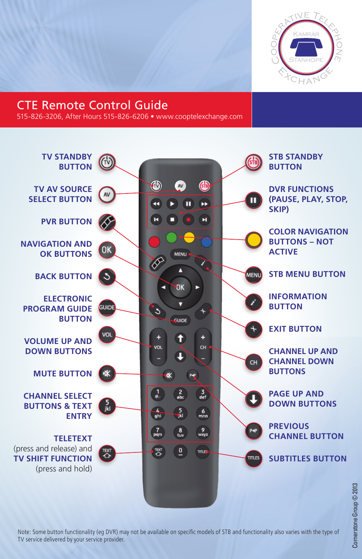

### CTE Remote Control Guide

515-826-3206, After Hours 515-826-6206 • www.cooptelexchange.com



Note: Some button functionality (eg DVR) may not be available on specific models of STB and functionality also varies with the type of TV service delivered by your service provider.